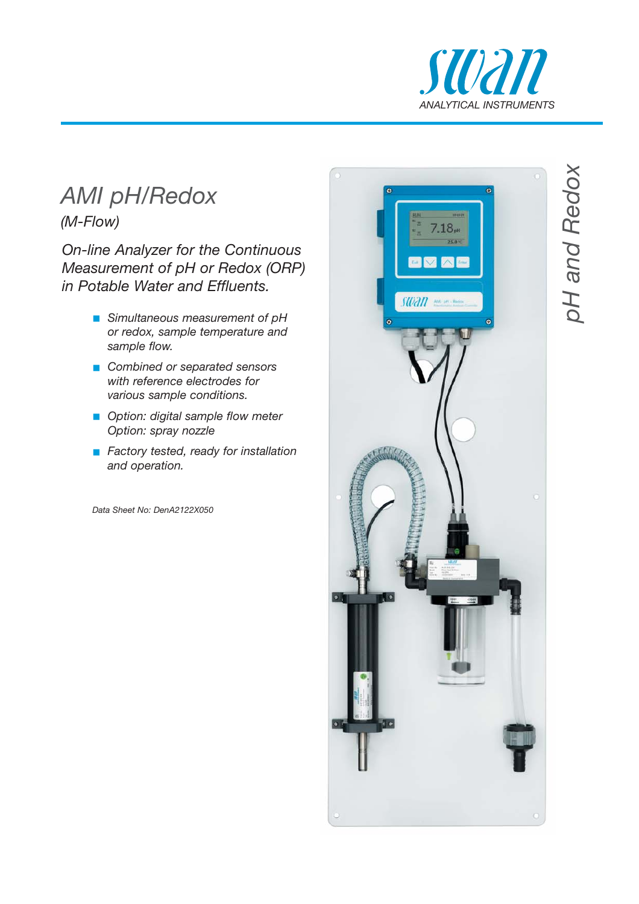

# *AMI pH/Redox*

*(M-Flow)*

*On-line Analyzer for the Continuous Measurement of pH or Redox (ORP) in Potable Water and Effluents.*

- **B** Simultaneous measurement of pH *or redox, sample temperature and sample flow.*
- **E** Combined or separated sensors *with reference electrodes for various sample conditions.*
- **Option: digital sample flow meter** *Option: spray nozzle*
- **Factory tested, ready for installation** *and operation.*

*Data Sheet No: DenA2122X050*



*pH and Redox* oH and Redox